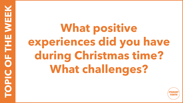**What positive experiences did you have during Christmas time? What challenges?**

**TOPIC OF THE WEEK**

**NOPIC OF THE WEI** 

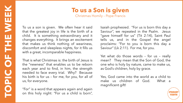## **To us a Son is given**

Christmas Homily – Pope Francis

To us a son is given. We often hear it said that the greatest joy in life is the birth of a child. It is something extraordinary and it changes everything. It brings an excitement that makes us think nothing of weariness, discomfort and sleepless nights, for it fills us with a great, incomparable happiness.

That is what Christmas is: the birth of Jesus is the "newness" that enables us to be reborn each year and to find, in him, the strength needed to face every trial. Why? Because his birth is for us – for me, for you, for all of us, for everyone.

"For" is a word that appears again and again on this holy night: "For us a child is born",

Isaiah prophesied. "For us is born this day a Saviour", we repeated in the Psalm. Jesus "gave himself for us" (Tit 2:14), Saint Paul tells us, and in the Gospel the angel proclaims: "For to you is born this day a Saviour" (Lk 2:11). For me, for you.

Yet what do those words – for us – really mean? They mean that the Son of God, the one who is holy by nature, came to make us, as God's children, holy by grace.

Yes, God came into the world as a child to make us children of God. What a magnificent gift!

rou i